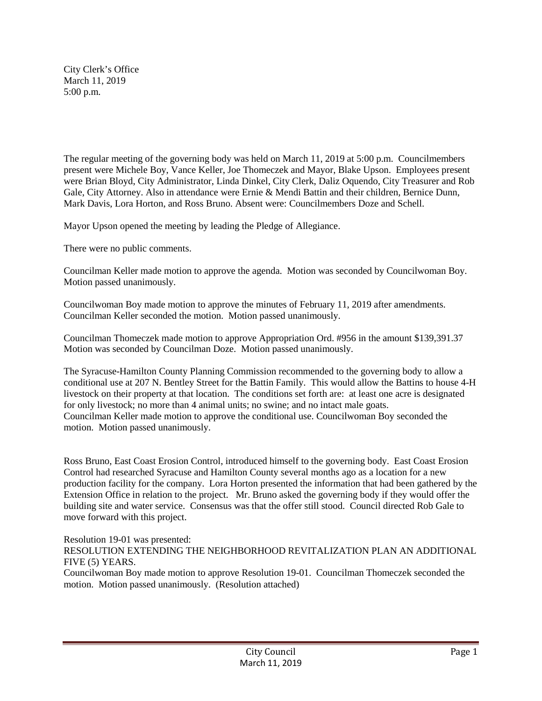City Clerk's Office March 11, 2019 5:00 p.m.

The regular meeting of the governing body was held on March 11, 2019 at 5:00 p.m. Councilmembers present were Michele Boy, Vance Keller, Joe Thomeczek and Mayor, Blake Upson. Employees present were Brian Bloyd, City Administrator, Linda Dinkel, City Clerk, Daliz Oquendo, City Treasurer and Rob Gale, City Attorney. Also in attendance were Ernie & Mendi Battin and their children, Bernice Dunn, Mark Davis, Lora Horton, and Ross Bruno. Absent were: Councilmembers Doze and Schell.

Mayor Upson opened the meeting by leading the Pledge of Allegiance.

There were no public comments.

Councilman Keller made motion to approve the agenda. Motion was seconded by Councilwoman Boy. Motion passed unanimously.

Councilwoman Boy made motion to approve the minutes of February 11, 2019 after amendments. Councilman Keller seconded the motion. Motion passed unanimously.

Councilman Thomeczek made motion to approve Appropriation Ord. #956 in the amount \$139,391.37 Motion was seconded by Councilman Doze. Motion passed unanimously.

The Syracuse-Hamilton County Planning Commission recommended to the governing body to allow a conditional use at 207 N. Bentley Street for the Battin Family. This would allow the Battins to house 4-H livestock on their property at that location. The conditions set forth are: at least one acre is designated for only livestock; no more than 4 animal units; no swine; and no intact male goats. Councilman Keller made motion to approve the conditional use. Councilwoman Boy seconded the motion. Motion passed unanimously.

Ross Bruno, East Coast Erosion Control, introduced himself to the governing body. East Coast Erosion Control had researched Syracuse and Hamilton County several months ago as a location for a new production facility for the company. Lora Horton presented the information that had been gathered by the Extension Office in relation to the project. Mr. Bruno asked the governing body if they would offer the building site and water service. Consensus was that the offer still stood. Council directed Rob Gale to move forward with this project.

Resolution 19-01 was presented: RESOLUTION EXTENDING THE NEIGHBORHOOD REVITALIZATION PLAN AN ADDITIONAL FIVE (5) YEARS.

Councilwoman Boy made motion to approve Resolution 19-01. Councilman Thomeczek seconded the motion. Motion passed unanimously. (Resolution attached)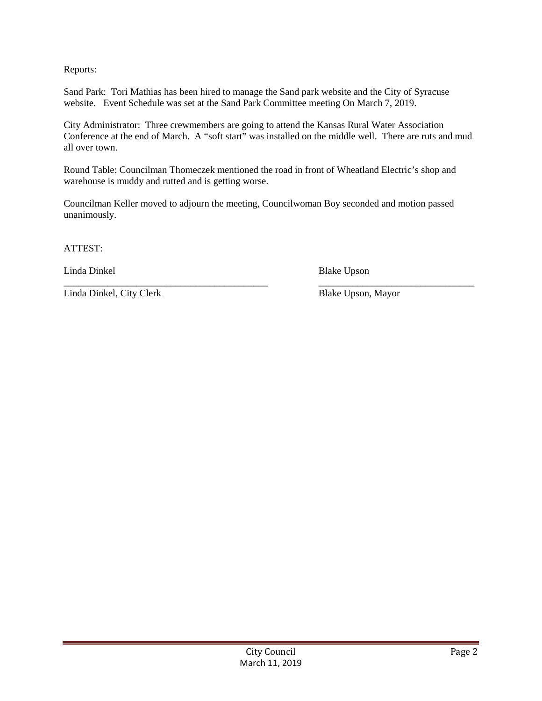Reports:

Sand Park: Tori Mathias has been hired to manage the Sand park website and the City of Syracuse website. Event Schedule was set at the Sand Park Committee meeting On March 7, 2019.

City Administrator: Three crewmembers are going to attend the Kansas Rural Water Association Conference at the end of March. A "soft start" was installed on the middle well. There are ruts and mud all over town.

Round Table: Councilman Thomeczek mentioned the road in front of Wheatland Electric's shop and warehouse is muddy and rutted and is getting worse.

Councilman Keller moved to adjourn the meeting, Councilwoman Boy seconded and motion passed unanimously.

ATTEST:

Linda Dinkel Blake Upson

\_\_\_\_\_\_\_\_\_\_\_\_\_\_\_\_\_\_\_\_\_\_\_\_\_\_\_\_\_\_\_\_\_\_\_\_\_\_\_\_\_\_ \_\_\_\_\_\_\_\_\_\_\_\_\_\_\_\_\_\_\_\_\_\_\_\_\_\_\_\_\_\_\_\_ Linda Dinkel, City Clerk Blake Upson, Mayor